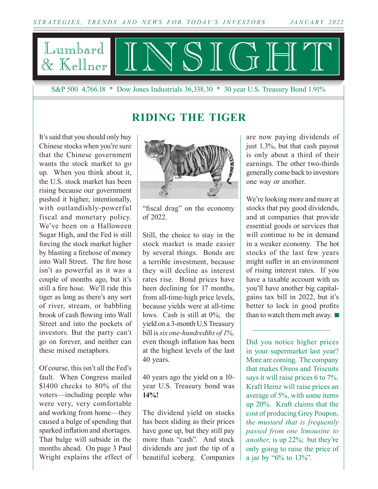

S&P 500 4,766.18 \* Dow Jones Industrials 36,338.30 \* 30 year U.S. Treasury Bond 1.91%

#### **RIDING THE TIGER**

It's said that you should only buy Chinese stocks when you're sure that the Chinese government wants the stock market to go up. When you think about it, the U.S. stock market has been rising because our government pushed it higher, intentionally, with outlandishly-powerful fiscal and monetary policy. We've been on a Halloween Sugar High, and the Fed is still forcing the stock market higher by blasting a firehose of money into Wall Street. The fire hose isn't as powerful as it was a couple of months ago, but it's still a fire hose. We'll ride this tiger as long as there's any sort of river, stream, or babbling brook of cash flowing into Wall Street and into the pockets of investors. But the party can't go on forever, and neither can these mixed metaphors.

Of course, this isn't all the Fed's fault. When Congress mailed \$1400 checks to 80% of the voters—including people who were very, very comfortable and working from home—they caused a bulge of spending that sparked inflation and shortages. That bulge will subside in the months ahead. On page 3 Paul Wright explains the effect of



"fiscal drag" on the economy of 2022.

Still, the choice to stay in the stock market is made easier by several things. Bonds are a terrible investment, because they will decline as interest rates rise. Bond prices have been declining for 17 months, from all-time-high price levels, because yields were at all-time lows. Cash is still at 0%; the yield on a 3-month U.S Treasury bill is *six one-hundredths of 1%,* even though inflation has been at the highest levels of the last 40 years.

40 years ago the yield on a 10 year U.S. Treasury bond was **14%!**

The dividend yield on stocks has been sliding as their prices have gone up, but they still pay more than "cash". And stock dividends are just the tip of a beautiful iceberg. Companies

are now paying dividends of just 1.3%, but that cash payout is only about a third of their earnings. The other two-thirds generally come back to investors one way or another.

We're looking more and more at stocks that pay good dividends, and at companies that provide essential goods or services that will continue to be in demand in a weaker economy. The hot stocks of the last few years might suffer in an environment of rising interest rates. If you have a taxable account with us you'll have another big capitalgains tax bill in 2022, but it's better to lock in good profits than to watch them melt away.  $\blacksquare$ 

Did you notice higher prices in your supermarket last year? More are coming. The company that makes Oreos and Triscuits says it will raise prices 6 to 7%. Kraft Heinz will raise prices an average of 5%, with some items up 20%. Kraft claims that the cost of producing Grey Poupon, *the mustard that is frequently passed from one limousine to another,* is up 22%; but they're only going to raise the price of a jar by "6% to 13%".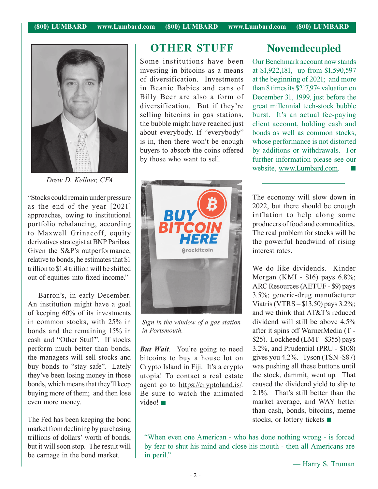

*Drew D. Kellner, CFA*

"Stocks could remain under pressure as the end of the year [2021] approaches, owing to institutional portfolio rebalancing, according to Maxwell Grinacoff, equity derivatives strategist at BNP Paribas. Given the S&P's outperformance, relative to bonds, he estimates that \$1 trillion to \$1.4 trillion will be shifted out of equities into fixed income."

— Barron's, in early December. An institution might have a goal of keeping 60% of its investments in common stocks, with 25% in bonds and the remaining 15% in cash and "Other Stuff". If stocks perform much better than bonds, the managers will sell stocks and buy bonds to "stay safe". Lately they've been losing money in those bonds, which means that they'll keep buying more of them; and then lose even more money.

The Fed has been keeping the bond market from declining by purchasing trillions of dollars' worth of bonds, but it will soon stop. The result will be carnage in the bond market.

#### **OTHER STUFF Novemdecupled**

Some institutions have been investing in bitcoins as a means of diversification. Investments in Beanie Babies and cans of Billy Beer are also a form of diversification. But if they're selling bitcoins in gas stations, the bubble might have reached just about everybody. If "everybody" is in, then there won't be enough buyers to absorb the coins offered by those who want to sell.



*Sign in the window of a gas station in Portsmouth.*

*But Wait*. You're going to need bitcoins to buy a house lot on Crypto Island in Fiji. It's a crypto utopia! To contact a real estate agent go to https://cryptoland.is/. Be sure to watch the animated video!

Our Benchmark account now stands at \$1,922,181, up from \$1,590,597 at the beginning of 2021; and more than 8 times its \$217,974 valuation on December 31, 1999, just before the great millennial tech-stock bubble burst. It's an actual fee-paying client account, holding cash and bonds as well as common stocks, whose performance is not distorted by additions or withdrawals. For further information please see our website, www.Lumbard.com.  $\mathcal{C}^{\mathcal{A}}$ 

The economy will slow down in 2022, but there should be enough inflation to help along some producers of food and commodities. The real problem for stocks will be the powerful headwind of rising interest rates.

We do like dividends. Kinder Morgan (KMI - \$16) pays 6.8%; ARC Resources (AETUF - \$9) pays 3.5%; generic-drug manufacturer Viatris (VTRS – \$13.50) pays 3.2%; and we think that AT&T's reduced dividend will still be above 4.5% after it spins off WarnerMedia (T - \$25). Lockheed (LMT - \$355) pays 3.2%, and Prudential (PRU - \$108) gives you 4.2%. Tyson (TSN -\$87) was pushing all these buttons until the stock, dammit, went up. That caused the dividend yield to slip to 2.1%. That's still better than the market average, and WAY better than cash, bonds, bitcoins, meme stocks, or lottery tickets  $\blacksquare$ 

"When even one American - who has done nothing wrong - is forced by fear to shut his mind and close his mouth - then all Americans are in peril."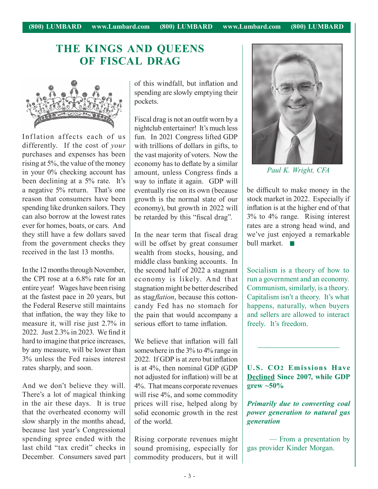## **THE KINGS AND QUEENS OF FISCAL DRAG**



Inflation affects each of us differently. If the cost of *your* purchases and expenses has been rising at 5%, the value of the money in your 0% checking account has been declining at a 5% rate. It's a negative 5% return. That's one reason that consumers have been spending like drunken sailors. They can also borrow at the lowest rates ever for homes, boats, or cars. And they still have a few dollars saved from the government checks they received in the last 13 months.

In the 12 months through November, the CPI rose at a 6.8% rate for an entire year! Wages have been rising at the fastest pace in 20 years, but the Federal Reserve still maintains that inflation, the way they like to measure it, will rise just 2.7% in 2022. Just 2.3% in 2023. We find it hard to imagine that price increases, by any measure, will be lower than 3% unless the Fed raises interest rates sharply, and soon.

And we don't believe they will. There's a lot of magical thinking in the air these days. It is true that the overheated economy will slow sharply in the months ahead, because last year's Congressional spending spree ended with the last child "tax credit" checks in December. Consumers saved part of this windfall, but inflation and spending are slowly emptying their pockets.

Fiscal drag is not an outfit worn by a nightclub entertainer! It's much less fun. In 2021 Congress lifted GDP with trillions of dollars in gifts, to the vast majority of voters. Now the economy has to deflate by a similar amount, unless Congress finds a way to inflate it again. GDP will eventually rise on its own (because growth is the normal state of our economy), but growth in 2022 will be retarded by this "fiscal drag".

In the near term that fiscal drag will be offset by great consumer wealth from stocks, housing, and middle class banking accounts. In the second half of 2022 a stagnant economy is likely. And that stagnation might be better described as stag*flation*, because this cottoncandy Fed has no stomach for the pain that would accompany a serious effort to tame inflation.

We believe that inflation will fall somewhere in the 3% to 4% range in 2022. If GDP is at zero but inflation is at 4%, then nominal GDP (GDP not adjusted for inflation) will be at 4%. That means corporate revenues will rise 4%, and some commodity prices will rise, helped along by solid economic growth in the rest of the world.

Rising corporate revenues might sound promising, especially for commodity producers, but it will



*Paul K. Wright, CFA*

be difficult to make money in the stock market in 2022. Especially if inflation is at the higher end of that 3% to 4% range. Rising interest rates are a strong head wind, and we've just enjoyed a remarkable bull market.  $\blacksquare$ 

Socialism is a theory of how to run a government and an economy. Communism, similarly, is a theory. Capitalism isn't a theory. It's what happens, naturally, when buyers and sellers are allowed to interact freely. It's freedom.

**U.S. CO2 Emissions Have Declined Since 2007, while GDP grew ~50%**

*Primarily due to converting coal power generation to natural gas generation*

— From a presentation by gas provider Kinder Morgan.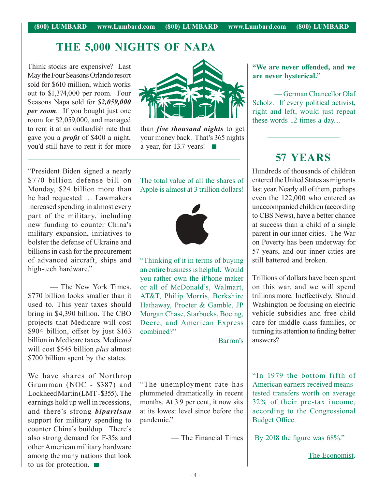## **THE 5,000 NIGHTS OF NAPA**

Think stocks are expensive? Last May the Four Seasons Orlando resort sold for \$610 million, which works out to \$1,374,000 per room. Four Seasons Napa sold for *\$2,059,000 per room*. If you bought just one room for \$2,059,000, and managed to rent it at an outlandish rate that gave you a *profit* of \$400 a night, you'd still have to rent it for more



than *five thousand nights* to get your money back. That's 365 nights a year, for 13.7 years!

"President Biden signed a nearly \$770 billion defense bill on Monday, \$24 billion more than he had requested … Lawmakers increased spending in almost every part of the military, including new funding to counter China's military expansion, initiatives to bolster the defense of Ukraine and billions in cash for the procurement of advanced aircraft, ships and high-tech hardware."

— The New York Times. \$770 billion looks smaller than it used to. This year taxes should bring in \$4,390 billion. The CBO projects that Medicare will cost \$904 billion, offset by just \$163 billion in Medicare taxes. Medic*aid*  will cost \$545 billion *plus* almost \$700 billion spent by the states.

We have shares of Northrop Grumman (NOC - \$387) and Lockheed Martin (LMT - \$355). The earnings hold up well in recessions, and there's strong *bipartisan* support for military spending to counter China's buildup. There's also strong demand for F-35s and other American military hardware among the many nations that look to us for protection.  $\blacksquare$ 

The total value of all the shares of Apple is almost at 3 trillion dollars!



"Thinking of it in terms of buying an entire business is helpful. Would you rather own the iPhone maker or all of McDonald's, Walmart, AT&T, Philip Morris, Berkshire Hathaway, Procter & Gamble, JP Morgan Chase, Starbucks, Boeing, Deere, and American Express combined?"

— Barron's

"The unemployment rate has plummeted dramatically in recent months. At 3.9 per cent, it now sits at its lowest level since before the pandemic."

— The Financial Times

#### **"We are never offended, and we are never hysterical."**

— German Chancellor Olaf Scholz. If every political activist, right and left, would just repeat these words 12 times a day…

## **57 YEARS**

Hundreds of thousands of children entered the United States as migrants last year. Nearly all of them, perhaps even the 122,000 who entered as unaccompanied children (according to CBS News), have a better chance at success than a child of a single parent in our inner cities. The War on Poverty has been underway for 57 years, and our inner cities are still battered and broken.

Trillions of dollars have been spent on this war, and we will spend trillions more. Ineffectively. Should Washington be focusing on electric vehicle subsidies and free child care for middle class families, or turning its attention to finding better answers?

"In 1979 the bottom fifth of American earners received meanstested transfers worth on average 32% of their pre-tax income, according to the Congressional Budget Office.

By 2018 the figure was 68%."

— The Economist.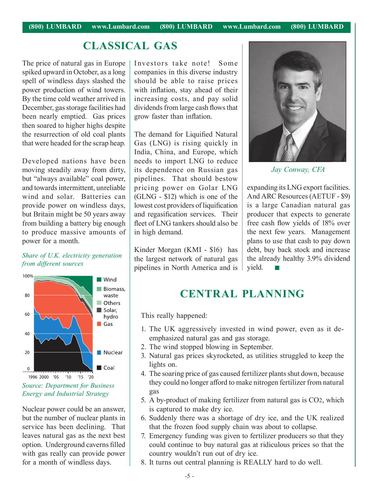#### **CLASSICAL GAS**

The price of natural gas in Europe spiked upward in October, as a long spell of windless days slashed the power production of wind towers. By the time cold weather arrived in December, gas storage facilities had been nearly emptied. Gas prices then soared to higher highs despite the resurrection of old coal plants that were headed for the scrap heap.

Developed nations have been moving steadily away from dirty, but "always available" coal power, and towards intermittent, unreliable wind and solar. Batteries can provide power on windless days, but Britain might be 50 years away from building a battery big enough to produce massive amounts of power for a month.

#### *Share of U.K. electricity generation from different sources*



*Source: Department for Business Energy and Industrial Strategy*

Nuclear power could be an answer, but the number of nuclear plants in service has been declining. That leaves natural gas as the next best option. Underground caverns filled with gas really can provide power for a month of windless days.

Investors take note! Some companies in this diverse industry should be able to raise prices with inflation, stay ahead of their increasing costs, and pay solid dividends from large cash flows that grow faster than inflation.

The demand for Liquified Natural Gas (LNG) is rising quickly in India, China, and Europe, which needs to import LNG to reduce its dependence on Russian gas pipelines. That should bestow pricing power on Golar LNG (GLNG - \$12) which is one of the lowest cost providers of liquification and regasification services. Their fleet of LNG tankers should also be in high demand.

Kinder Morgan (KMI - \$16) has the largest network of natural gas pipelines in North America and is



*Jay Conway, CFA*

expanding its LNG export facilities. And ARC Resources (AETUF - \$9) is a large Canadian natural gas producer that expects to generate free cash flow yields of 18% over the next few years. Management plans to use that cash to pay down debt, buy back stock and increase the already healthy 3.9% dividend yield.

#### **CENTRAL PLANNING**

This really happened:

- 1. The UK aggressively invested in wind power, even as it deemphasized natural gas and gas storage.
- 2. The wind stopped blowing in September.
- 3. Natural gas prices skyrocketed, as utilities struggled to keep the lights on.
- 4. The soaring price of gas caused fertilizer plants shut down, because they could no longer afford to make nitrogen fertilizer from natural gas
- 5. A by-product of making fertilizer from natural gas is CO2, which is captured to make dry ice.
- 6. Suddenly there was a shortage of dry ice, and the UK realized that the frozen food supply chain was about to collapse.
- 7. Emergency funding was given to fertilizer producers so that they could continue to buy natural gas at ridiculous prices so that the country wouldn't run out of dry ice.
- 8. It turns out central planning is REALLY hard to do well.